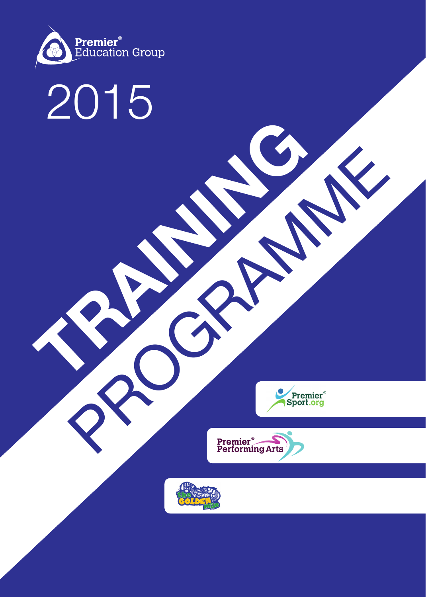

# 2015 **TRAINING**





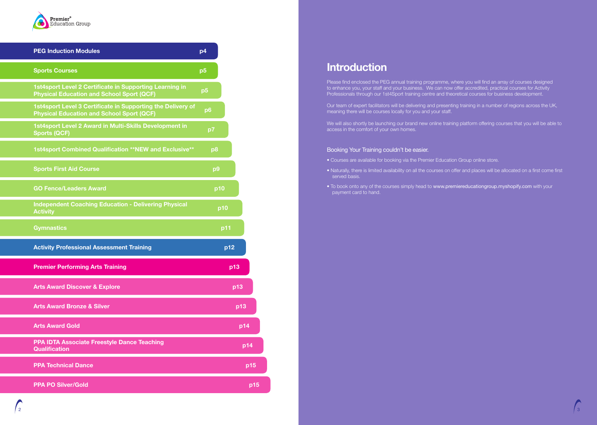# **Introduction**

Please find enclosed the PEG annual training programme, where you will find an array of courses designed to enhance you, your staff and your business. We can now offer accredited, practical courses for Activity Professionals through our 1st4Sport training centre and theoretical courses for business development.

We will also shortly be launching our brand new online training platform offering courses that you will be able to access in the comfort of your own homes.

Our team of expert facilitators will be delivering and presenting training in a number of regions across the UK, meaning there will be courses locally for you and your staff.

## Booking Your Training couldn't be easier.

• Naturally, there is limited availability on all the courses on offer and places will be allocated on a first come first

- Courses are available for booking via the Premier Education Group online store.
- served basis.
- payment card to hand.

• To book onto any of the courses simply head to www.premiereducationgroup.myshopify.com with your



| <b>PEG Induction Modules</b>                                                                                    | p4             |
|-----------------------------------------------------------------------------------------------------------------|----------------|
| <b>Sports Courses</b>                                                                                           | p <sub>5</sub> |
| 1st4sport Level 2 Certificate in Supporting Learning in<br><b>Physical Education and School Sport (QCF)</b>     | p5             |
| 1st4sport Level 3 Certificate in Supporting the Delivery of<br><b>Physical Education and School Sport (QCF)</b> | p6             |
| 1st4sport Level 2 Award in Multi-Skills Development in<br><b>Sports (QCF)</b>                                   | p7             |
| 1st4sport Combined Qualification **NEW and Exclusive**                                                          | p <sub>8</sub> |
| <b>Sports First Aid Course</b>                                                                                  | p9             |
| <b>GO Fence/Leaders Award</b>                                                                                   | p10            |
| <b>Independent Coaching Education - Delivering Physical</b><br><b>Activity</b>                                  | p10            |
| <b>Gymnastics</b>                                                                                               | p11            |
| <b>Activity Professional Assessment Training</b>                                                                | p12            |
| <b>Premier Performing Arts Training</b>                                                                         | p13            |
| <b>Arts Award Discover &amp; Explore</b>                                                                        | p13            |
| <b>Arts Award Bronze &amp; Silver</b>                                                                           | p13            |
| <b>Arts Award Gold</b>                                                                                          | p14            |
| <b>PPA IDTA Associate Freestyle Dance Teaching</b><br><b>Qualification</b>                                      | p14            |
| <b>PPA Technical Dance</b>                                                                                      | p15            |
| <b>PPA PO Silver/Gold</b>                                                                                       | p15            |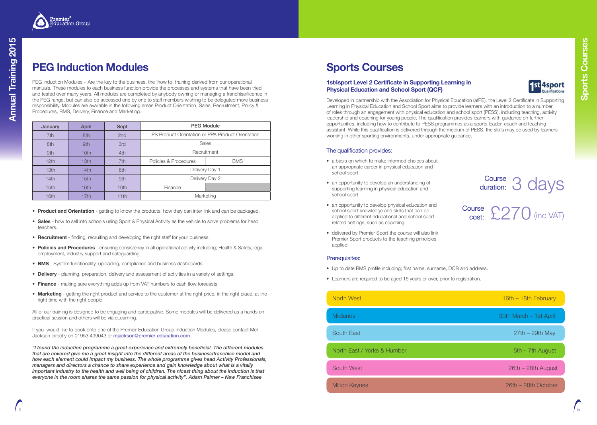# **Sports Courses**

## **1st4sport Level 2 Certificate in Supporting Learning in Physical Education and School Sport (QCF)**

Developed in partnership with the Association for Physical Education (afPE), the Level 2 Certificate in Supporting Learning in Physical Education and School Sport aims to provide learners with an introduction to a number of roles through an engagement with physical education and school sport (PESS), including teaching, activity leadership and coaching for young people. The qualification provides learners with guidance on further opportunities, including how to contribute to PESS programmes as a sports leader, coach and teaching assistant. While this qualification is delivered through the medium of PESS, the skills may be used by learners working in other sporting environments, under appropriate guidance.

## The qualification provides:



- a basis on which to make informed choices about an appropriate career in physical education and school sport
- an opportunity to develop an understanding of supporting learning in physical education and school sport
- an opportunity to develop physical education and school sport knowledge and skills that can be applied to different educational and school sport related settings, such as coaching
- delivered by Premier Sport the course will also link Premier Sport products to the teaching principles applied

## Prerequisites:

- Up to date BMS profile including; first name, surname, DOB and address.
- Learners are required to be aged 16 years or over, prior to registration.

| North West                  |
|-----------------------------|
| <b>Midlands</b>             |
| <b>South East</b>           |
| North East / Yorks & Humber |
| <b>South West</b>           |
| <b>Milton Keynes</b>        |



# **PEG Induction Modules**

PEG Induction Modules – Are the key to the business, the 'how to' training derived from our operational manuals. These modules to each business function provide the processes and systems that have been tried and tested over many years. All modules are completed by anybody owning or managing a franchise/licence in the PEG range, but can also be accessed one by one to staff members wishing to be delegated more business responsibility. Modules are available in the following areas Product Orientation, Sales, Recruitment, Policy & Procedures, BMS, Delivery, Finance and Marketing.

- **Product and Orientation** getting to know the products, how they can inter link and can be packaged.
- **Sales** how to sell into schools using Sport & Physical Activity as the vehicle to solve problems for head teachers.
- **Recruitment** finding, recruiting and developing the right staff for your business.
- **Policies and Procedures** ensuring consistency in all operational activity including, Health & Safety, legal, employment, industry support and safeguarding.
- **BMS** System functionality, uploading, compliance and business dashboards.
- **Delivery** planning, preparation, delivery and assessment of activities in a variety of settings.
- **Finance** making sure everything adds up from VAT numbers to cash flow forecasts.
- **Marketing** getting the right product and service to the customer at the right price, in the right place, at the right time with the right people.

| January          | <b>April</b>     | <b>Sept</b>      |                                                   | <b>PEG Module</b> |
|------------------|------------------|------------------|---------------------------------------------------|-------------------|
| 7th              | 8th              | 2nd              | PS Product Orientation or PPA Product Orientation |                   |
| 8th              | 9th              | 3rd              | <b>Sales</b>                                      |                   |
| 9th              | 10 <sub>th</sub> | 4th              | Recruitment                                       |                   |
| 12 <sub>th</sub> | 13 <sub>th</sub> | 7th              | Policies & Procedures                             | <b>BMS</b>        |
| 13 <sub>th</sub> | 14th             | 8th              | Delivery Day 1                                    |                   |
| 14th             | 15 <sub>th</sub> | 9th              | Delivery Day 2                                    |                   |
| 15 <sub>th</sub> | 16th             | 10 <sub>th</sub> | Finance                                           |                   |
| 16th             | 17th             | 11th             | Marketing                                         |                   |

All of our training is designed to be engaging and participative. Some modules will be delivered as a hands on practical session and others will be via eLearning.

If you would like to book onto one of the Premier Education Group Induction Modules, please contact Mel Jackson directly on 01953 499043 or mjackson@premier-education.com

*"I found the induction programme a great experience and extremely beneficial. The different modules that are covered give me a great insight into the different areas of the business/franchise model and how each element could impact my business. The whole programme gives head Activity Professionals, managers and directors a chance to share experience and gain knowledge about what is a vitally important industry to the health and well being of children. The nicest thing about the induction is that everyone in the room shares the same passion for physical activity". Adam Palmer – New Franchisee*



 $16th - 18th$  February

30th March – 1st April

 $27th - 29th$  May

 $5th - 7th$  August

 $26th - 28th$  August

 $26th - 28th$  October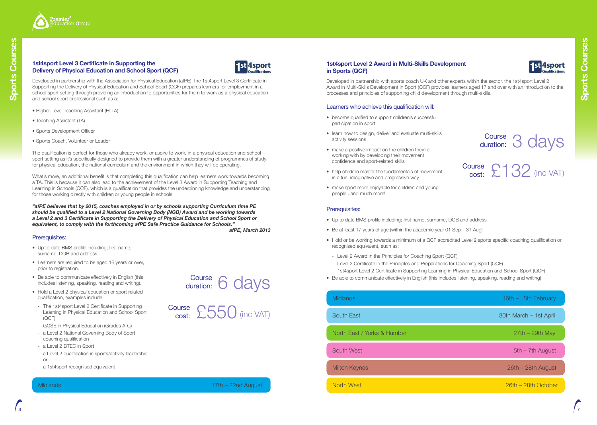## **1st4sport Level 2 Award in Multi-Skills Development in Sports (QCF)**

Developed in partnership with sports coach UK and other experts within the sector, the 1st4sport Level 2 Award in Multi-Skills Development in Sport (QCF) provides learners aged 17 and over with an introduction to the processes and principles of supporting child development through multi-skills.

## Learners who achieve this qualification will:

- become qualified to support children's successful participation in sport
- learn how to design, deliver and evaluate multi-skills activity sessions
- make a positive impact on the children they're working with by developing their movement confidence and sport-related skills
- help children master the fundamentals of movement in a fun, imaginative and progressive way
- make sport more enjoyable for children and young people...and much more!

## Prerequisites:

- Up to date BMS profile including; first name, surname, DOB and address
- Be at least 17 years of age (within the academic year 01 Sep 31 Aug)
- Hold or be working towards a minimum of a QCF accredited Level 2 sports specific coaching qualification or recognised equivalent, such as:
- Level 2 Award in the Principles for Coaching Sport (QCF)
- Level 2 Certificate in the Principles and Preparations for Coaching Sport (QCF)
- 1st4sport Level 2 Certificate in Supporting Learning in Physical Education and School Sport (QCF)
- Be able to communicate effectively in English (this includes listening, speaking, reading and writing)

What's more, an additional benefit is that completing this qualification can help learners work towards becoming a TA. This is because it can also lead to the achievement of the Level 3 Award in Supporting Teaching and Learning in Schools (QCF), which is a qualification that provides the underpinning knowledge and understanding for those working directly with children or young people in schools.

North West 26th – 28th October

North East / Yorks & Humber 27th – 29th May

Milton Keynes 26th – 28th August

## **1st4sport Level 3 Certificate in Supporting the Delivery of Physical Education and School Sport (QCF)**



Developed in partnership with the Association for Physical Education (afPE), the 1st4sport Level 3 Certificate in Supporting the Delivery of Physical Education and School Sport (QCF) prepares learners for employment in a school sport setting through providing an introduction to opportunities for them to work as a physical education and school sport professional such as a:



# Course 3 days Course £132 (inc VAT) duration: cost:

Midlands 16th – 18th February 16th – 18th February

South East 30th March – 1st April

South West **5th – 7th August** 5th – 7th August 5th – 7th August 5th – 7th August 5th – 7th August 5th – 7th August

- Higher Level Teaching Assistant (HLTA)
- Teaching Assistant (TA)
- Sports Development Officer
- Sports Coach, Volunteer or Leader

The qualification is perfect for those who already work, or aspire to work, in a physical education and school sport setting as it's specifically designed to provide them with a greater understanding of programmes of study for physical education, the national curriculum and the environment in which they will be operating.

*"afPE believes that by 2015, coaches employed in or by schools supporting Curriculum time PE should be qualified to a Level 2 National Governing Body (NGB) Award and be working towards a Level 2 and 3 Certificate in Supporting the Delivery of Physical Education and School Sport or equivalent, to comply with the forthcoming afPE Safe Practice Guidance for Schools."*

*afPE, March 2013*

## Midlands 17th – 22nd August

## Prerequisites:

- Up to date BMS profile including; first name, surname, DOB and address.
- Learners are required to be aged 16 years or over, prior to registration.
- Be able to communicate effectively in English (this includes listening, speaking, reading and writing).
- Hold a Level 2 physical education or sport related qualification, examples include:
- The 1st4sport Level 2 Certificate in Supporting Learning in Physical Education and School Sport (QCF)
- GCSE in Physical Education (Grades A-C)
- a Level 2 National Governing Body of Sport coaching qualification
- a Level 2 BTEC in Sport
- a Level 2 qualification in sports/activity leadership or
- a 1st4sport recognised equivalent

6 days **Course** duration:

£550 (inc VAT) **Course** cost: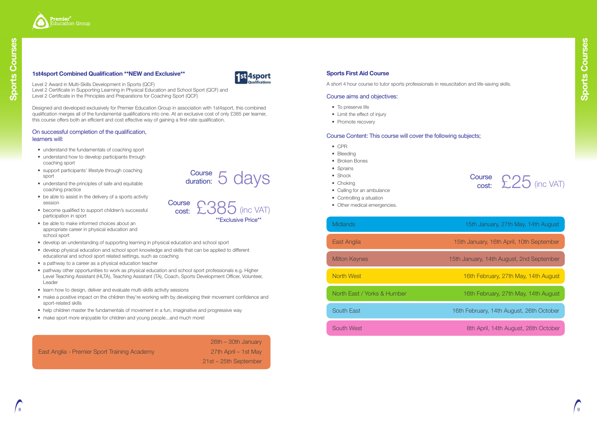



Level 2 Award in Multi-Skills Development in Sports (QCF) Level 2 Certificate in Supporting Learning in Physical Education and School Sport (QCF) and

Level 2 Certificate in the Principles and Preparations for Coaching Sport (QCF)

Designed and developed exclusively for Premier Education Group in association with 1st4sport, this combined qualification merges all of the fundamental qualifications into one. At an exclusive cost of only £385 per learner, this course offers both an efficient and cost effective way of gaining a first-rate qualification.

## On successful completion of the qualification, learners will:

**Course** cost:

- understand the fundamentals of coaching sport
- understand how to develop participants through coaching sport
- support participants' lifestyle through coaching sport
- understand the principles of safe and equitable coaching practice
- be able to assist in the delivery of a sports activity session
- become qualified to support children's successful participation in sport
- be able to make informed choices about an appropriate career in physical education and school sport
- develop an understanding of supporting learning in physical education and school sport
- develop physical education and school sport knowledge and skills that can be applied to different educational and school sport related settings, such as coaching
- a pathway to a career as a physical education teacher
- pathway other opportunities to work as physical education and school sport professionals e.g. Higher Level Teaching Assistant (HLTA), Teaching Assistant (TA), Coach, Sports Development Officer, Volunteer, Leader
- learn how to design, deliver and evaluate multi-skills activity sessions
- make a positive impact on the children they're working with by developing their movement confidence and sport-related skills
- help children master the fundamentals of movement in a fun, imaginative and progressive way
- make sport more enjoyable for children and young people...and much more!

## Course £25 (inc VAT) cost:

East Anglia - Premier Sport Training Academy 27th April – 1st May

26th – 30th January 21st – 25th September

\*\*Exclusive Price\*\*

(inc VAT)

Course 5 days

duration:

## **Sports First Aid Course**

A short 4 hour course to tutor sports professionals in resuscitation and life-saving skills.

## Course aims and objectives:

- To preserve life
- Limit the effect of injury
- Promote recovery

## Course Content: This course will cover the following subjects;

- CPR
- Bleeding
- Broken Bones
- Sprains
- Shock
- Choking
- Calling for an ambulance
- Controlling a situation
- Other medical emergencies.

Milton Keynes 15th January, 14th August, 2nd September

North West **16th February, 27th May, 14th August** 

North East / Yorks & Humber 16th February, 27th May, 14th August

South East 16th February, 14th August, 26th October

South West **8th April, 14th August, 26th October** 

East Anglia 15th January, 16th April, 10th September

Midlands 15th January, 27th May, 14th August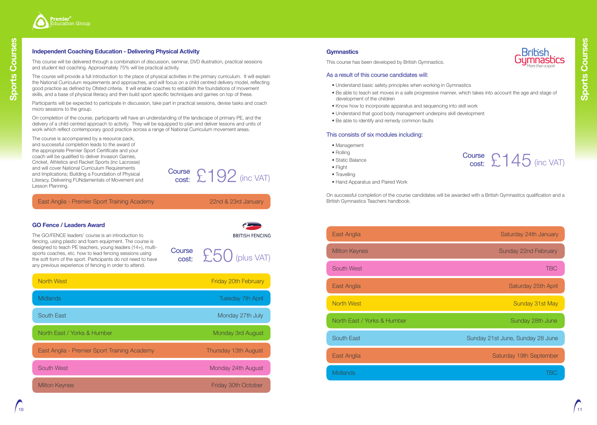## **Gymnastics**

This course has been developed by British Gymnastics.

## As a result of this course candidates will:

• Be able to teach set moves in a safe progressive manner, which takes into account the age and stage of

- Understand basic safety principles when working in Gymnastics
- development of the children
- Know how to incorporate apparatus and sequencing into skill work
- Understand that good body management underpins skill development
- Be able to identify and remedy common faults

## This consists of six modules including:

- Management
- Rolling
- Static Balance
- Flight
- Travelling
- Hand Apparatus and Paired Work

On successful completion of the course candidates will be awarded with a British Gymnastics qualification and a British Gymnastics Teachers handbook.

| East Anglia                 | Saturday 24th January            |
|-----------------------------|----------------------------------|
| <b>Milton Keynes</b>        | Sunday 22nd February             |
| <b>South West</b>           | <b>TBC</b>                       |
| East Anglia                 | Saturday 25th Apri               |
| <b>North West</b>           | Sunday 31st May                  |
| North East / Yorks & Humber | Sunday 28th June                 |
| <b>South East</b>           | Sunday 21st June, Sunday 28 June |
| East Anglia                 | Saturday 19th Septembe           |
| <b>Midlands</b>             | ΈC                               |
|                             |                                  |

## **Independent Coaching Education - Delivering Physical Activity**

This course will be delivered through a combination of discussion, seminar, DVD illustration, practical sessions and student led coaching. Approximately 75% will be practical activity.



## $\frac{\text{Course}}{\text{cost:}} 2145$  (inc VAT) cost:

The course will provide a full introduction to the place of physical activities in the primary curriculum. It will explain the National Curriculum requirements and approaches, and will focus on a child centred delivery model, reflecting good practice as defined by Ofsted criteria. It will enable coaches to establish the foundations of movement skills, and a base of physical literacy and then build sport specific techniques and games on top of these.

Participants will be expected to participate in discussion, take part in practical sessions, devise tasks and coach micro sessions to the group.

On completion of the course, participants will have an understanding of the landscape of primary PE, and the delivery of a child centred approach to activity. They will be equipped to plan and deliver lessons and units of work which reflect contemporary good practice across a range of National Curriculum movement areas.

East Anglia - Premier Sport Training Academy 22nd & 23rd January

**BRITISH FENCING** 

Course £192 (inc VAT)

The course is accompanied by a resource pack, and successful completion leads to the award of the appropriate Premier Sport Certificate and your coach will be qualified to deliver Invasion Games, Cricket, Athletics and Racket Sports (inc Lacrosse) and will cover National Curriculum Requirements and Implications; Building a Foundation of Physical Literacy, Delivering FUNdamentals of Movement and Lesson Planning.

cost:



## **GO Fence / Leaders Award**

The GO/FENCE leaders' course is an introduction to fencing, using plastic and foam equipment. The course is designed to teach PE teachers, young leaders (14+), multisports coaches, etc. how to lead fencing sessions using the soft form of the sport. Participants do not need to have any previous experience of fencing in order to attend.

| <b>North West</b>                            | <b>Friday 20th February</b> |
|----------------------------------------------|-----------------------------|
| <b>Midlands</b>                              | <b>Tuesday 7th April</b>    |
| <b>South East</b>                            | Monday 27th July            |
| North East / Yorks & Humber                  | Monday 3rd August           |
| East Anglia - Premier Sport Training Academy | Thursday 13th August        |
| <b>South West</b>                            | Monday 24th August          |
| <b>Milton Keynes</b>                         | <b>Friday 30th October</b>  |

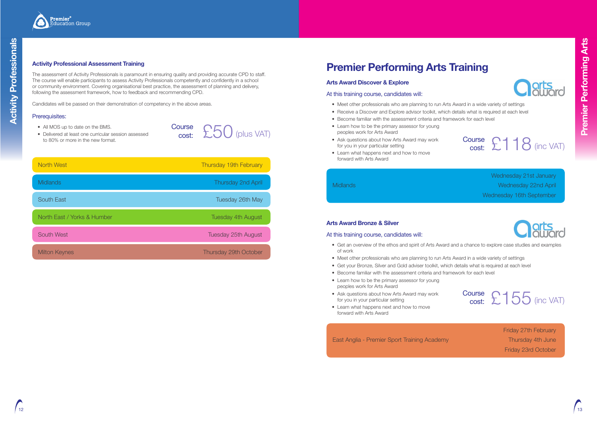



# **Premier Performing Arts Training**

## **Arts Award Discover & Explore**

## At this training course, candidates will:

- Meet other professionals who are planning to run Arts Award in a wide variety of settings
- Receive a Discover and Explore advisor toolkit, which details what is required at each level
- Become familiar with the assessment criteria and framework for each level
- Learn how to be the primary assessor for young peoples work for Arts Award
- Ask questions about how Arts Award may work for you in your particular setting
- Learn what happens next and how to move forward with Arts Award

Wednesday 21st January Midlands Wednesday 22nd April Wednesday 16th September



## **Arts Award Bronze & Silver**

## At this training course, candidates will:



• Get an overview of the ethos and spirit of Arts Award and a chance to explore case studies and examples

- of work
- 
- Meet other professionals who are planning to run Arts Award in a wide variety of settings • Get your Bronze, Silver and Gold adviser toolkit, which details what is required at each level
- Become familiar with the assessment criteria and framework for each level
- Learn how to be the primary assessor for young peoples work for Arts Award
- Ask questions about how Arts Award may work for you in your particular setting
- Learn what happens next and how to move forward with Arts Award

East Anglia - Premier Sport Training Academy Thursday 4th June

£50 (plus VAT) Course<br>:cost

# $\begin{array}{ccc}\n\text{cost:} & \text{LUC} & \text{(pIUS VAL)} \\
\text{Cost:} & \text{Course} & \text{Course} & \text{Cousce} \\
\text{for you in your particular setting} & \text{cost:} & \text{Cous.} & \text{Cous.} \\
\end{array}$ cost:

Friday 27th February Friday 23rd October

## Prerequisites:

- All MOS up to date on the BMS.
- Delivered at least one curricular session assessed to 80% or more in the new format.



## **Activity Professional Assessment Training**

The assessment of Activity Professionals is paramount in ensuring quality and providing accurate CPD to staff. The course will enable participants to assess Activity Professionals competently and confidently in a school or community environment. Covering organisational best practice, the assessment of planning and delivery, following the assessment framework, how to feedback and recommending CPD.

| <b>North West</b>           | Thursday 19th February       |
|-----------------------------|------------------------------|
| <b>Midlands</b>             | <b>Thursday 2nd April</b>    |
| <b>South East</b>           | Tuesday 26th May             |
| North East / Yorks & Humber | <b>Tuesday 4th August</b>    |
| <b>South West</b>           | Tuesday 25th August          |
| <b>Milton Keynes</b>        | <b>Thursday 29th October</b> |

Candidates will be passed on their demonstration of competency in the above areas.

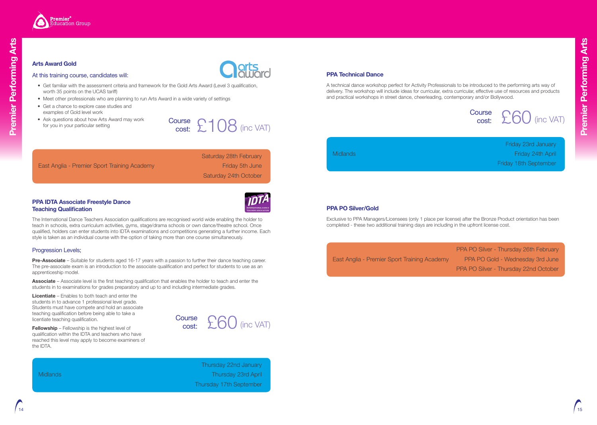

## **PPA Technical Dance**

A technical dance workshop perfect for Activity Professionals to be introduced to the performing arts way of delivery. The workshop will include ideas for curricular, extra curricular, effective use of resources and products and practical workshops in street dance, cheerleading, contemporary and/or Bollywood.

Friday 23rd January Midlands Friday 24th April Friday 18th September

 $\Sigma$ 60 (inc VAT)

## **Arts Award Gold**

## At this training course, candidates will:

- Get familiar with the assessment criteria and framework for the Gold Arts Award (Level 3 qualification, worth 35 points on the UCAS tariff)
- Meet other professionals who are planning to run Arts Award in a wide variety of settings
- Get a chance to explore case studies and examples of Gold level work
- Ask questions about how Arts Award may work for you in your particular setting

Saturday 28th February East Anglia - Premier Sport Training Academy Friday 5th June Saturday 24th October

## **PPA IDTA Associate Freestyle Dance Teaching Qualification**



The International Dance Teachers Association qualifications are recognised world wide enabling the holder to teach in schools, extra curriculum activities, gyms, stage/drama schools or own dance/theatre school. Once qualified, holders can enter students into IDTA examinations and competitions generating a further income. Each style is taken as an individual course with the option of taking more than one course simultaneously.

## Progression Levels;

**Pre-Associate** – Suitable for students aged 16-17 years with a passion to further their dance teaching career. The pre-associate exam is an introduction to the associate qualification and perfect for students to use as an apprenticeship model.

**Associate** – Associate level is the first teaching qualification that enables the holder to teach and enter the students in to examinations for grades preparatory and up to and including intermediate grades.

**Licentiate** – Enables to both teach and enter the students in to advance 1 professional level grade. Students must have compete and hold an associate teaching qualification before being able to take a licentiate teaching qualification.

**Fellowship** – Fellowship is the highest level of qualification within the IDTA and teachers who have reached this level may apply to become examiners of the IDTA.

Thursday 22nd January Midlands Thursday 23rd April Thursday 17th September

## **PPA PO Silver/Gold**

Exclusive to PPA Managers/Licensees (only 1 place per license) after the Bronze Product orientation has been completed - these two additional training days are including in the upfront license cost.

PPA PO Silver - Thursday 26th February East Anglia - Premier Sport Training Academy PPA PO Gold - Wednesday 3rd June PPA PO Silver - Thursday 22nd October

# Course<br>cost: